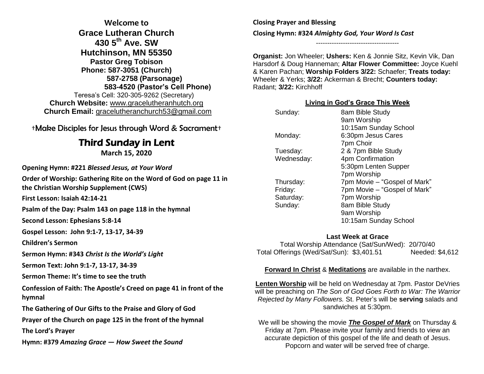**Welcome to Grace Lutheran Church 430 5th Ave. SW Hutchinson, MN 55350 Pastor Greg Tobison Phone: 587-3051 (Church) 587-2758 (Parsonage) 583-4520 (Pastor's Cell Phone)** Teresa's Cell: 320-305-9262 (Secretary) **Church Website:** [www.gracelutheranhutch.org](http://www.gracelutheranhutch.org/) **Church Email:** [gracelutheranchurch53@gmail.com](mailto:gracelutheranchurch53@gmail.com)

†Make Disciples for Jesus through Word & Sacrament†

## Third Sunday in Lent

**March 15, 2020**

**Opening Hymn: #221** *Blessed Jesus, at Your Word*

**Order of Worship: Gathering Rite on the Word of God on page 11 in the Christian Worship Supplement (CWS)**

**First Lesson: Isaiah 42:14-21**

**Psalm of the Day: Psalm 143 on page 118 in the hymnal**

**Second Lesson: Ephesians 5:8-14**

**Gospel Lesson: John 9:1-7, 13-17, 34-39**

**Children's Sermon**

**Sermon Hymn: #343** *Christ Is the World's Light*

**Sermon Text: John 9:1-7, 13-17, 34-39**

**Sermon Theme: It's time to see the truth**

**Confession of Faith: The Apostle's Creed on page 41 in front of the hymnal**

**The Gathering of Our Gifts to the Praise and Glory of God**

**Prayer of the Church on page 125 in the front of the hymnal**

**The Lord's Prayer**

**Hymn: #379** *Amazing Grace — How Sweet the Sound*

**Closing Prayer and Blessing Closing Hymn: #324** *Almighty God, Your Word Is Cast*

-------------------------------------

**Organist:** Jon Wheeler; **Ushers:** Ken & Jonnie Sitz, Kevin Vik, Dan Harsdorf & Doug Hanneman; **Altar Flower Committee:** Joyce Kuehl & Karen Pachan; **Worship Folders 3/22:** Schaefer; **Treats today:** Wheeler & Yerks; **3/22:** Ackerman & Brecht; **Counters today:** Radant; **3/22:** Kirchhoff

## **Living in God's Grace This Week**

| Sunday:    | 8am Bible Study              |
|------------|------------------------------|
|            | 9am Worship                  |
|            | 10:15am Sunday School        |
| Monday:    | 6:30pm Jesus Cares           |
|            | 7pm Choir                    |
| Tuesday:   | 2 & 7pm Bible Study          |
| Wednesday: | 4pm Confirmation             |
|            | 5:30pm Lenten Supper         |
|            | 7pm Worship                  |
| Thursday:  | 7pm Movie – "Gospel of Mark" |
| Friday:    | 7pm Movie – "Gospel of Mark" |
| Saturday:  | 7pm Worship                  |
| Sunday:    | 8am Bible Study              |
|            | 9am Worship                  |
|            | 10:15am Sunday School        |

## **Last Week at Grace**

Total Worship Attendance (Sat/Sun/Wed): 20/70/40 Total Offerings (Wed/Sat/Sun): \$3,401.51 Needed: \$4,612

## **Forward In Christ** & **Meditations** are available in the narthex.

**Lenten Worship** will be held on Wednesday at 7pm. Pastor DeVries will be preaching on *The Son of God Goes Forth to War: The Warrior Rejected by Many Followers.* St. Peter's will be **serving** salads and sandwiches at 5:30pm.

We will be showing the movie *The Gospel of Mark* on Thursday & Friday at 7pm. Please invite your family and friends to view an accurate depiction of this gospel of the life and death of Jesus. Popcorn and water will be served free of charge.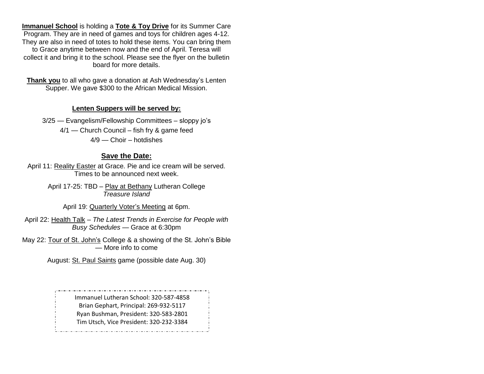**Immanuel School** is holding a **Tote & Toy Drive** for its Summer Care Program. They are in need of games and toys for children ages 4-12. They are also in need of totes to hold these items. You can bring them to Grace anytime between now and the end of April. Teresa will collect it and bring it to the school. Please see the flyer on the bulletin board for more details.

**Thank you** to all who gave a donation at Ash Wednesday's Lenten Supper. We gave \$300 to the African Medical Mission.

#### **Lenten Suppers will be served by:**

3/25 — Evangelism/Fellowship Committees – sloppy jo's 4/1 — Church Council – fish fry & game feed 4/9 — Choir – hotdishes

#### **Save the Date:**

April 11: Reality Easter at Grace. Pie and ice cream will be served. Times to be announced next week.

> April 17-25: TBD – Play at Bethany Lutheran College *Treasure Island*

April 19: Quarterly Voter's Meeting at 6pm.

April 22: Health Talk – *The Latest Trends in Exercise for People with Busy Schedules* — Grace at 6:30pm

May 22: Tour of St. John's College & a showing of the St. John's Bible — More info to come

August: St. Paul Saints game (possible date Aug. 30)

Immanuel Lutheran School: 320-587-4858 Brian Gephart, Principal: 269-932-5117 Ryan Bushman, President: 320-583-2801 Tim Utsch, Vice President: 320-232-3384